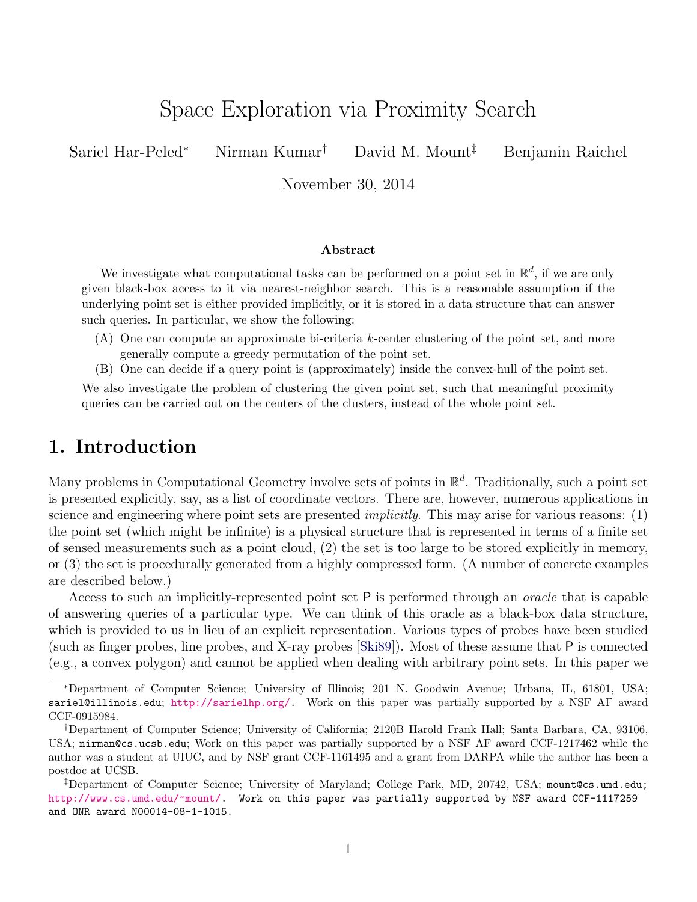# Space Exploration via Proximity Search

Sariel Har-Peled*<sup>∗</sup>* Nirman Kumar*†* David M. Mount*‡* Benjamin Raichel

November 30, 2014

#### **Abstract**

We investigate what computational tasks can be performed on a point set in  $\mathbb{R}^d$ , if we are only given black-box access to it via nearest-neighbor search. This is a reasonable assumption if the underlying point set is either provided implicitly, or it is stored in a data structure that can answer such queries. In particular, we show the following:

- (A) One can compute an approximate bi-criteria *k*-center clustering of the point set, and more generally compute a greedy permutation of the point set.
- (B) One can decide if a query point is (approximately) inside the convex-hull of the point set.

We also investigate the problem of clustering the given point set, such that meaningful proximity queries can be carried out on the centers of the clusters, instead of the whole point set.

## **1. Introduction**

Many problems in Computational Geometry involve sets of points in R *d* . Traditionally, such a point set is presented explicitly, say, as a list of coordinate vectors. There are, however, numerous applications in science and engineering where point sets are presented *implicitly*. This may arise for various reasons: (1) the point set (which might be infinite) is a physical structure that is represented in terms of a finite set of sensed measurements such as a point cloud, (2) the set is too large to be stored explicitly in memory, or (3) the set is procedurally generated from a highly compressed form. (A number of concrete examples are described below.)

Access to such an implicitly-represented point set P is performed through an *oracle* that is capable of answering queries of a particular type. We can think of this oracle as a black-box data structure, which is provided to us in lieu of an explicit representation. Various types of probes have been studied (such as finger probes, line probes, and X-ray probes [\[Ski89\]](#page-15-0)). Most of these assume that P is connected (e.g., a convex polygon) and cannot be applied when dealing with arbitrary point sets. In this paper we

*<sup>∗</sup>*Department of Computer Science; University of Illinois; 201 N. Goodwin Avenue; Urbana, IL, 61801, USA; sariel@illinois.edu; [http://sarielhp.org/.](http://sarielhp.org/) Work on this paper was partially supported by a NSF AF award CCF-0915984.

*<sup>†</sup>*Department of Computer Science; University of California; 2120B Harold Frank Hall; Santa Barbara, CA, 93106, USA; nirman@cs.ucsb.edu; Work on this paper was partially supported by a NSF AF award CCF-1217462 while the author was a student at UIUC, and by NSF grant CCF-1161495 and a grant from DARPA while the author has been a postdoc at UCSB.

*<sup>‡</sup>*Department of Computer Science; University of Maryland; College Park, MD, 20742, USA; mount@cs.umd.edu; <http://www.cs.umd.edu/~mount/>. Work on this paper was partially supported by NSF award CCF-1117259 and ONR award N00014-08-1-1015.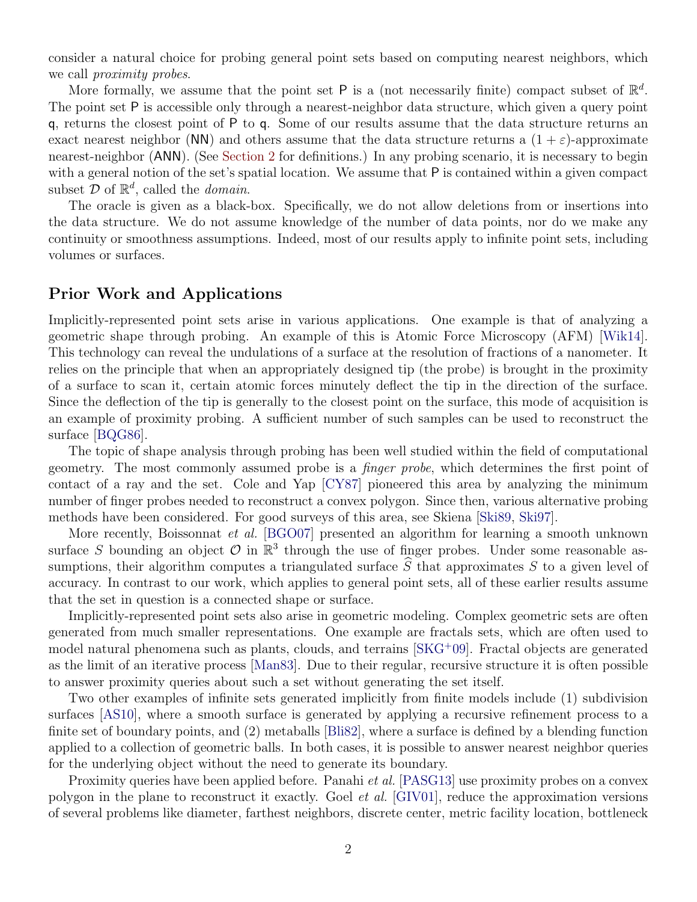consider a natural choice for probing general point sets based on computing nearest neighbors, which we call *proximity probes*.

More formally, we assume that the point set  $P$  is a (not necessarily finite) compact subset of  $\mathbb{R}^d$ . The point set P is accessible only through a nearest-neighbor data structure, which given a query point q, returns the closest point of P to q. Some of our results assume that the data structure returns an exact nearest neighbor (NN) and others assume that the data structure returns a  $(1 + \varepsilon)$ -approximate nearest-neighbor (ANN). (See [Section 2](#page-3-0) for definitions.) In any probing scenario, it is necessary to begin with a general notion of the set's spatial location. We assume that P is contained within a given compact subset  $D$  of  $\mathbb{R}^d$ , called the *domain*.

The oracle is given as a black-box. Specifically, we do not allow deletions from or insertions into the data structure. We do not assume knowledge of the number of data points, nor do we make any continuity or smoothness assumptions. Indeed, most of our results apply to infinite point sets, including volumes or surfaces.

### **Prior Work and Applications**

Implicitly-represented point sets arise in various applications. One example is that of analyzing a geometric shape through probing. An example of this is Atomic Force Microscopy (AFM) [[Wik14\]](#page-15-1). This technology can reveal the undulations of a surface at the resolution of fractions of a nanometer. It relies on the principle that when an appropriately designed tip (the probe) is brought in the proximity of a surface to scan it, certain atomic forces minutely deflect the tip in the direction of the surface. Since the deflection of the tip is generally to the closest point on the surface, this mode of acquisition is an example of proximity probing. A sufficient number of such samples can be used to reconstruct the surface [\[BQG86](#page-14-0)].

The topic of shape analysis through probing has been well studied within the field of computational geometry. The most commonly assumed probe is a *finger probe*, which determines the first point of contact of a ray and the set. Cole and Yap [[CY87\]](#page-14-1) pioneered this area by analyzing the minimum number of finger probes needed to reconstruct a convex polygon. Since then, various alternative probing methods have been considered. For good surveys of this area, see Skiena [[Ski89](#page-15-0), [Ski97](#page-15-2)].

More recently, Boissonnat *et al.* [[BGO07\]](#page-14-2) presented an algorithm for learning a smooth unknown surface *S* bounding an object  $\mathcal{O}$  in  $\mathbb{R}^3$  through the use of finger probes. Under some reasonable assumptions, their algorithm computes a triangulated surface  $\hat{S}$  that approximates  $S$  to a given level of accuracy. In contrast to our work, which applies to general point sets, all of these earlier results assume that the set in question is a connected shape or surface.

Implicitly-represented point sets also arise in geometric modeling. Complex geometric sets are often generated from much smaller representations. One example are fractals sets, which are often used to model natural phenomena such as plants, clouds, and terrains  $[SKG^+09]$  $[SKG^+09]$  $[SKG^+09]$ . Fractal objects are generated as the limit of an iterative process [\[Man83\]](#page-14-3). Due to their regular, recursive structure it is often possible to answer proximity queries about such a set without generating the set itself.

Two other examples of infinite sets generated implicitly from finite models include (1) subdivision surfaces [[AS10\]](#page-14-4), where a smooth surface is generated by applying a recursive refinement process to a finite set of boundary points, and (2) metaballs [[Bli82](#page-14-5)], where a surface is defined by a blending function applied to a collection of geometric balls. In both cases, it is possible to answer nearest neighbor queries for the underlying object without the need to generate its boundary.

Proximity queries have been applied before. Panahi *et al.* [[PASG13\]](#page-15-4) use proximity probes on a convex polygon in the plane to reconstruct it exactly. Goel *et al.* [\[GIV01\]](#page-14-6), reduce the approximation versions of several problems like diameter, farthest neighbors, discrete center, metric facility location, bottleneck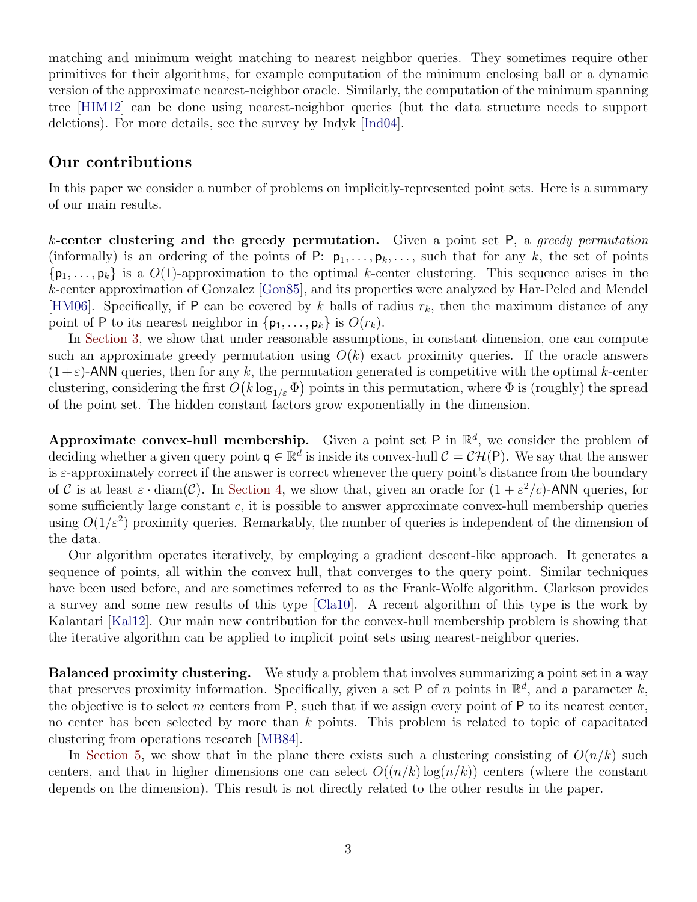matching and minimum weight matching to nearest neighbor queries. They sometimes require other primitives for their algorithms, for example computation of the minimum enclosing ball or a dynamic version of the approximate nearest-neighbor oracle. Similarly, the computation of the minimum spanning tree [[HIM12](#page-14-7)] can be done using nearest-neighbor queries (but the data structure needs to support deletions). For more details, see the survey by Indyk [[Ind04\]](#page-14-8).

### **Our contributions**

In this paper we consider a number of problems on implicitly-represented point sets. Here is a summary of our main results.

*k***-center clustering and the greedy permutation.** Given a point set P, a *greedy permutation* (informally) is an ordering of the points of P:  $p_1, \ldots, p_k, \ldots$ , such that for any k, the set of points  $\{p_1, \ldots, p_k\}$  is a  $O(1)$ -approximation to the optimal *k*-center clustering. This sequence arises in the *k*-center approximation of Gonzalez [\[Gon85](#page-14-9)], and its properties were analyzed by Har-Peled and Mendel [[HM06\]](#page-14-10). Specifically, if P can be covered by  $k$  balls of radius  $r_k$ , then the maximum distance of any point of P to its nearest neighbor in  $\{p_1, \ldots, p_k\}$  is  $O(r_k)$ .

In [Section 3,](#page-4-0) we show that under reasonable assumptions, in constant dimension, one can compute such an approximate greedy permutation using  $O(k)$  exact proximity queries. If the oracle answers  $(1+\varepsilon)$ -ANN queries, then for any k, the permutation generated is competitive with the optimal k-center clustering, considering the first  $O(k \log_{1/\varepsilon} \Phi)$  points in this permutation, where  $\Phi$  is (roughly) the spread of the point set. The hidden constant factors grow exponentially in the dimension.

**Approximate convex-hull membership.** Given a point set  $P$  in  $\mathbb{R}^d$ , we consider the problem of deciding whether a given query point  $q \in \mathbb{R}^d$  is inside its convex-hull  $C = \mathcal{CH}(P)$ . We say that the answer is *ε*-approximately correct if the answer is correct whenever the query point's distance from the boundary of *C* is at least  $\varepsilon \cdot \text{diam}(\mathcal{C})$ . In [Section 4,](#page-8-0) we show that, given an oracle for  $(1 + \varepsilon^2/c)$ -ANN queries, for some sufficiently large constant *c*, it is possible to answer approximate convex-hull membership queries using  $O(1/\varepsilon^2)$  proximity queries. Remarkably, the number of queries is independent of the dimension of the data.

Our algorithm operates iteratively, by employing a gradient descent-like approach. It generates a sequence of points, all within the convex hull, that converges to the query point. Similar techniques have been used before, and are sometimes referred to as the Frank-Wolfe algorithm. Clarkson provides a survey and some new results of this type [[Cla10\]](#page-14-11). A recent algorithm of this type is the work by Kalantari [[Kal12\]](#page-14-12). Our main new contribution for the convex-hull membership problem is showing that the iterative algorithm can be applied to implicit point sets using nearest-neighbor queries.

**Balanced proximity clustering.** We study a problem that involves summarizing a point set in a way that preserves proximity information. Specifically, given a set  $P$  of  $n$  points in  $\mathbb{R}^d$ , and a parameter  $k$ , the objective is to select *m* centers from P, such that if we assign every point of P to its nearest center, no center has been selected by more than *k* points. This problem is related to topic of capacitated clustering from operations research [[MB84\]](#page-15-5).

In [Section 5,](#page-12-0) we show that in the plane there exists such a clustering consisting of  $O(n/k)$  such centers, and that in higher dimensions one can select  $O((n/k)\log(n/k))$  centers (where the constant depends on the dimension). This result is not directly related to the other results in the paper.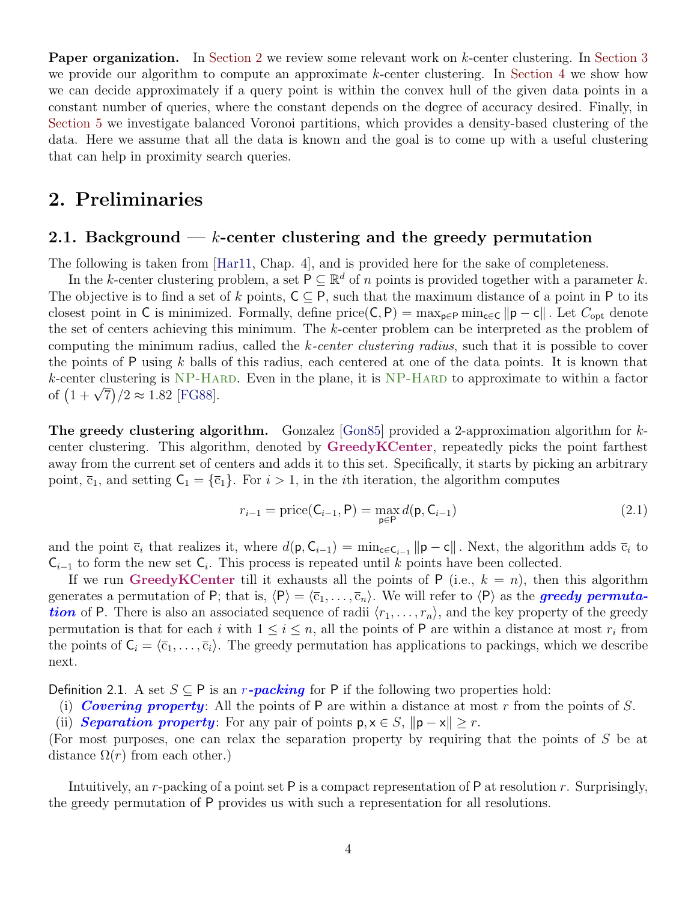**Paper organization.** In [Section 2](#page-3-0) we review some relevant work on *k*-center clustering. In [Section 3](#page-4-0) we provide our algorithm to compute an approximate *k*-center clustering. In [Section 4](#page-8-0) we show how we can decide approximately if a query point is within the convex hull of the given data points in a constant number of queries, where the constant depends on the degree of accuracy desired. Finally, in [Section 5](#page-12-0) we investigate balanced Voronoi partitions, which provides a density-based clustering of the data. Here we assume that all the data is known and the goal is to come up with a useful clustering that can help in proximity search queries.

## <span id="page-3-0"></span>**2. Preliminaries**

## **2.1. Background —** *k***-center clustering and the greedy permutation**

The following is taken from [[Har11](#page-14-13), Chap. 4], and is provided here for the sake of completeness.

In the *k*-center clustering problem, a set  $P \subseteq \mathbb{R}^d$  of *n* points is provided together with a parameter *k*. The objective is to find a set of k points,  $C \subseteq P$ , such that the maximum distance of a point in P to its closest point in C is minimized. Formally, define price(C, P) =  $\max_{p \in P} \min_{c \in C} ||p - c||$ . Let  $C_{opt}$  denote the set of centers achieving this minimum. The *k*-center problem can be interpreted as the problem of computing the minimum radius, called the *k-center clustering radius*, such that it is possible to cover the points of P using *k* balls of this radius, each centered at one of the data points. It is known that *k*-center clustering is NP-Hard. Even in the plane, it is NP-Hard to approximate to within a factor  $\kappa$ -center clustering is NP-HA<br>of  $(1+\sqrt{7})/2 \approx 1.82$  [[FG88\]](#page-14-14).

**The greedy clustering algorithm.** Gonzalez [\[Gon85\]](#page-14-9) provided a 2-approximation algorithm for *k*center clustering. This algorithm, denoted by **GreedyKCenter**, repeatedly picks the point farthest away from the current set of centers and adds it to this set. Specifically, it starts by picking an arbitrary point,  $\bar{c}_1$ , and setting  $C_1 = {\bar{c}_1}$ . For  $i > 1$ , in the *i*th iteration, the algorithm computes

$$
r_{i-1} = \text{price}(\mathsf{C}_{i-1}, \mathsf{P}) = \max_{\mathsf{p} \in \mathsf{P}} d(\mathsf{p}, \mathsf{C}_{i-1})
$$
(2.1)

and the point  $\bar{c}_i$  that realizes it, where  $d(\mathbf{p}, \mathbf{C}_{i-1}) = \min_{\mathbf{c} \in \mathbf{C}_{i-1}} ||\mathbf{p} - \mathbf{c}||$ . Next, the algorithm adds  $\bar{c}_i$  to  $C_{i-1}$  to form the new set  $C_i$ . This process is repeated until *k* points have been collected.

If we run GreedyKCenter till it exhausts all the points of  $P$  (i.e.,  $k = n$ ), then this algorithm generates a permutation of P; that is,  $\langle P \rangle = \langle \overline{c}_1, \ldots, \overline{c}_n \rangle$ . We will refer to  $\langle P \rangle$  as the **greedy permuta***tion* of P. There is also an associated sequence of radii  $\langle r_1, \ldots, r_n \rangle$ , and the key property of the greedy permutation is that for each *i* with  $1 \leq i \leq n$ , all the points of P are within a distance at most  $r_i$  from the points of  $C_i = \langle \overline{c}_1, \ldots, \overline{c}_i \rangle$ . The greedy permutation has applications to packings, which we describe next.

Definition 2.1. A set  $S \subseteq P$  is an *r*-packing for P if the following two properties hold:

(i) *Covering property*: All the points of P are within a distance at most *r* from the points of *S*.

(ii) *Separation property*: For any pair of points  $p, x \in S$ ,  $||p - x|| \geq r$ .

(For most purposes, one can relax the separation property by requiring that the points of *S* be at distance  $\Omega(r)$  from each other.)

<span id="page-3-1"></span>Intuitively, an *r*-packing of a point set P is a compact representation of P at resolution *r*. Surprisingly, the greedy permutation of P provides us with such a representation for all resolutions.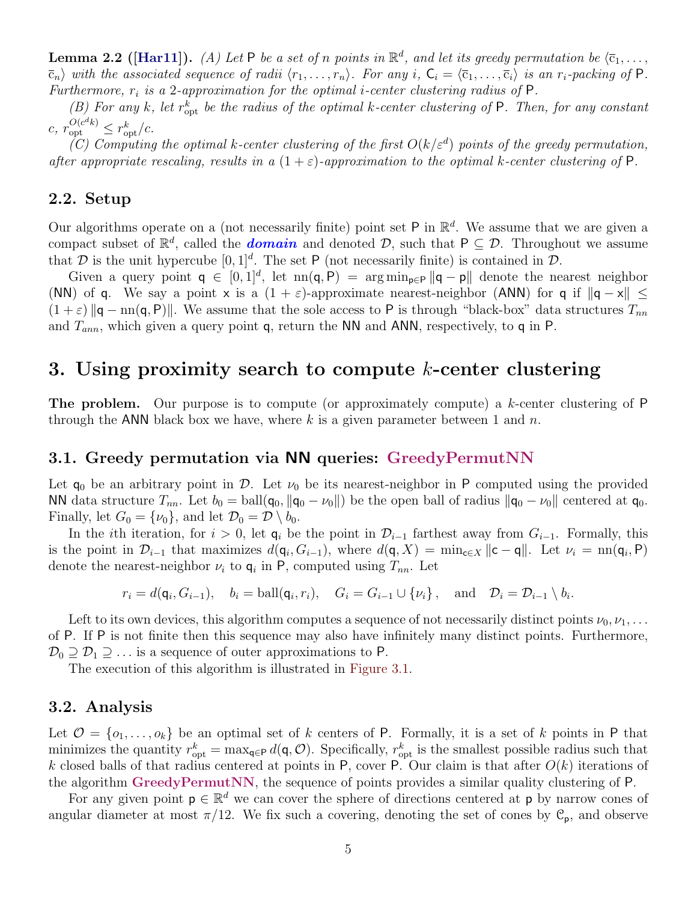**Lemma 2.2 ([[Har11\]](#page-14-13)).** *(A) Let*  $P$  *be a set of n points in*  $\mathbb{R}^d$ *, and let its greedy permutation be*  $\langle \overline{c}_1, \ldots, \overline{c}_m \rangle$  $\overline{c}_n$  with the associated sequence of radii  $\langle r_1,\ldots,r_n\rangle$ . For any i,  $C_i = \langle \overline{c}_1,\ldots,\overline{c}_i\rangle$  is an  $r_i$ -packing of P. *Furthermore, r<sup>i</sup> is a* 2*-approximation for the optimal i-center clustering radius of* P*.*

<span id="page-4-2"></span>*(B)* For any *k*, let  $r_{\rm opt}^k$  be the radius of the optimal *k*-center clustering of P. Then, for any constant  $c, r_{\text{opt}}^{O(c^{d}k)} \leq r_{\text{opt}}^{k}/c.$ 

 $(C)$  Computing the optimal *k*-center clustering of the first  $O(k/\epsilon^d)$  points of the greedy permutation, *after appropriate rescaling, results in a*  $(1 + \varepsilon)$ *-approximation to the optimal k-center clustering of* P.

### **2.2. Setup**

Our algorithms operate on a (not necessarily finite) point set  $P$  in  $\mathbb{R}^d$ . We assume that we are given a compact subset of  $\mathbb{R}^d$ , called the *domain* and denoted *D*, such that  $P \subseteq D$ . Throughout we assume that  $D$  is the unit hypercube  $[0,1]^d$ . The set P (not necessarily finite) is contained in  $D$ .

Given a query point  $q \in [0,1]^d$ , let  $nn(q, P) = arg min_{p \in P} ||q - p||$  denote the nearest neighbor (NN) of q. We say a point x is a  $(1 + \varepsilon)$ -approximate nearest-neighbor (ANN) for q if  $||q - x|| \le$  $(1 + \varepsilon)$   $\|\mathbf{q} - \text{nn}(\mathbf{q}, \mathbf{P})\|$ . We assume that the sole access to P is through "black-box" data structures  $T_{nn}$ and *Tann*, which given a query point q, return the NN and ANN, respectively, to q in P.

## <span id="page-4-0"></span>**3. Using proximity search to compute** *k***-center clustering**

**The problem.** Our purpose is to compute (or approximately compute) a *k*-center clustering of P through the ANN black box we have, where *k* is a given parameter between 1 and *n*.

#### <span id="page-4-1"></span>**3.1. Greedy permutation via NN queries: GreedyPermutNN**

Let  $q_0$  be an arbitrary point in *D*. Let  $\nu_0$  be its nearest-neighbor in P computed using the provided NN data structure  $T_{nn}$ . Let  $b_0 = \text{ball}(\mathbf{q}_0, \|\mathbf{q}_0 - \nu_0\|)$  be the open ball of radius  $\|\mathbf{q}_0 - \nu_0\|$  centered at  $\mathbf{q}_0$ . Finally, let  $G_0 = {\nu_0}$ , and let  $\mathcal{D}_0 = \mathcal{D} \setminus b_0$ .

In the *i*th iteration, for  $i > 0$ , let  $q_i$  be the point in  $\mathcal{D}_{i-1}$  farthest away from  $G_{i-1}$ . Formally, this is the point in  $\mathcal{D}_{i-1}$  that maximizes  $d(\mathbf{q}_i, G_{i-1})$ , where  $d(\mathbf{q}, X) = \min_{\mathbf{c} \in X} ||\mathbf{c} - \mathbf{q}||$ . Let  $\nu_i = \text{nn}(\mathbf{q}_i, \mathsf{P})$ denote the nearest-neighbor  $\nu_i$  to  $\mathbf{q}_i$  in P, computed using  $T_{nn}$ . Let

$$
r_i = d(\mathbf{q}_i, G_{i-1}),
$$
  $b_i = \text{ball}(\mathbf{q}_i, r_i),$   $G_i = G_{i-1} \cup \{\nu_i\},$  and  $\mathcal{D}_i = \mathcal{D}_{i-1} \setminus b_i.$ 

Left to its own devices, this algorithm computes a sequence of not necessarily distinct points  $\nu_0, \nu_1, \ldots$ of P. If P is not finite then this sequence may also have infinitely many distinct points. Furthermore,  $\mathcal{D}_0 \supseteq \mathcal{D}_1 \supseteq \ldots$  is a sequence of outer approximations to P.

The execution of this algorithm is illustrated in [Figure 3.1](#page-5-0).

#### **3.2. Analysis**

Let  $\mathcal{O} = \{o_1, \ldots, o_k\}$  be an optimal set of *k* centers of P. Formally, it is a set of *k* points in P that minimizes the quantity  $r_{opt}^k = \max_{\mathbf{q} \in \mathbf{P}} d(\mathbf{q}, \mathcal{O})$ . Specifically,  $r_{opt}^k$  is the smallest possible radius such that *k* closed balls of that radius centered at points in P, cover P. Our claim is that after *O*(*k*) iterations of the algorithm **GreedyPermutNN**, the sequence of points provides a similar quality clustering of P.

For any given point  $p \in \mathbb{R}^d$  we can cover the sphere of directions centered at p by narrow cones of angular diameter at most  $\pi/12$ . We fix such a covering, denoting the set of cones by  $\mathcal{C}_{p}$ , and observe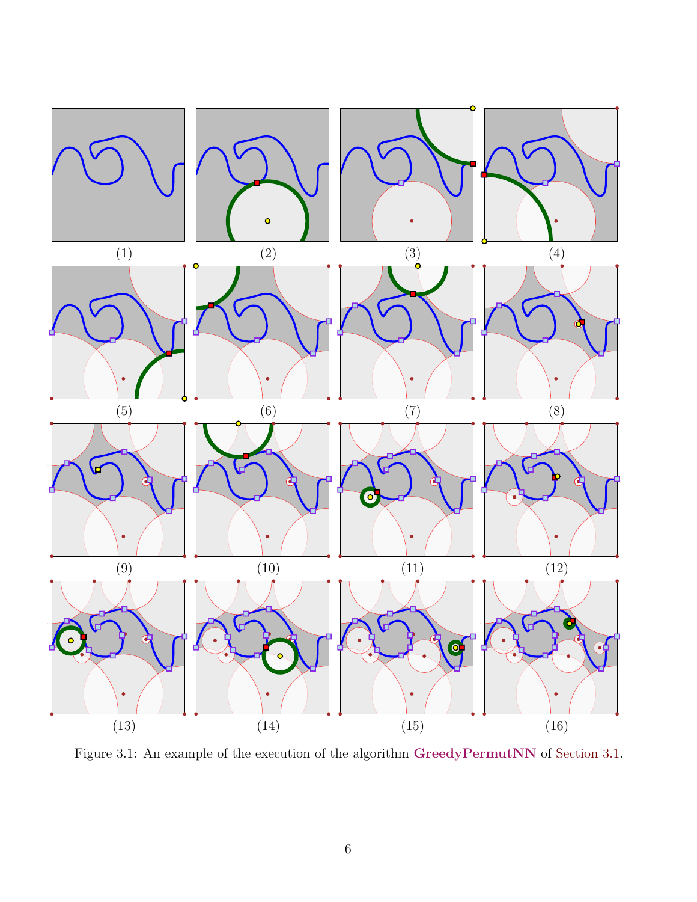<span id="page-5-0"></span>

Figure 3.1: An example of the execution of the algorithm **GreedyPermutNN** of [Section 3.1.](#page-4-1)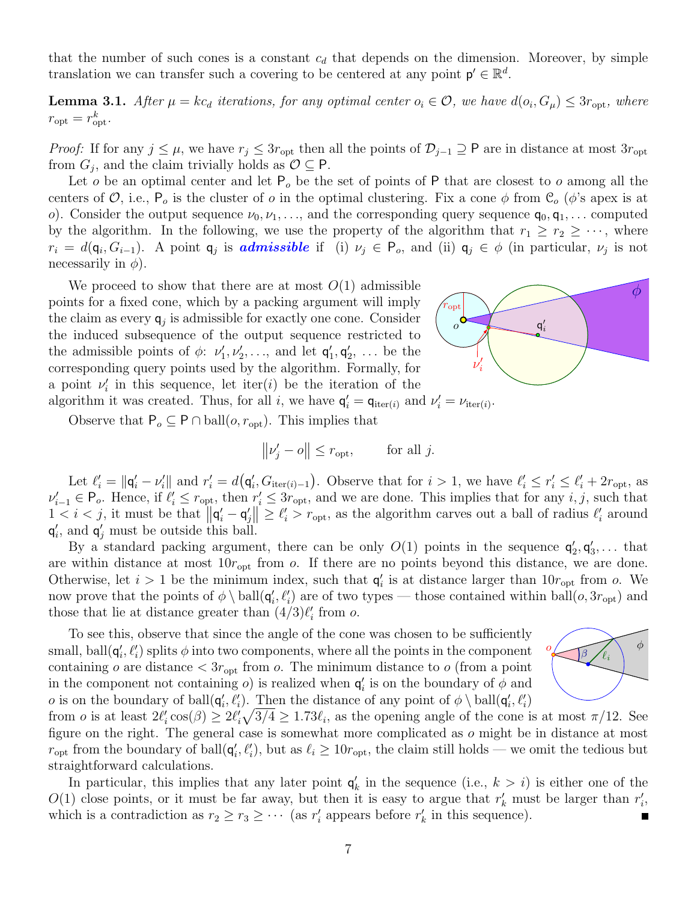that the number of such cones is a constant  $c_d$  that depends on the dimension. Moreover, by simple translation we can transfer such a covering to be centered at any point  $p' \in \mathbb{R}^d$ .

<span id="page-6-0"></span>**Lemma 3.1.** After  $\mu = kc_d$  iterations, for any optimal center  $o_i \in \mathcal{O}$ , we have  $d(o_i, G_{\mu}) \leq 3r_{\text{opt}}$ , where  $r_{\rm opt} = r_{\rm opt}^k$ .

*Proof:* If for any  $j \leq \mu$ , we have  $r_j \leq 3r_{\text{opt}}$  then all the points of  $\mathcal{D}_{j-1} \supseteq P$  are in distance at most  $3r_{\text{opt}}$ from  $G_j$ , and the claim trivially holds as  $\mathcal{O} \subseteq \mathsf{P}$ .

Let *o* be an optimal center and let  $P_0$  be the set of points of P that are closest to *o* among all the centers of  $\mathcal{O}$ , i.e.,  $P_o$  is the cluster of *o* in the optimal clustering. Fix a cone  $\phi$  from  $\mathcal{C}_o$  ( $\phi$ 's apex is at *o*). Consider the output sequence  $\nu_0, \nu_1, \ldots$ , and the corresponding query sequence  $\mathsf{q}_0, \mathsf{q}_1, \ldots$  computed by the algorithm. In the following, we use the property of the algorithm that  $r_1 \geq r_2 \geq \cdots$ , where  $r_i = d(\mathsf{q}_i, G_{i-1})$ . A point  $\mathsf{q}_j$  is **admissible** if (i)  $\nu_j \in \mathsf{P}_o$ , and (ii)  $\mathsf{q}_j \in \phi$  (in particular,  $\nu_j$  is not necessarily in  $\phi$ ).

We proceed to show that there are at most  $O(1)$  admissible points for a fixed cone, which by a packing argument will imply the claim as every  $q_j$  is admissible for exactly one cone. Consider the induced subsequence of the output sequence restricted to the admissible points of  $\phi$ :  $\nu'_{1}, \nu'_{2}, \ldots$ , and let  $\mathsf{q}'_{1}, \mathsf{q}'_{2}, \ldots$  be the corresponding query points used by the algorithm. Formally, for a point  $\nu'_{i}$  in this sequence, let iter(*i*) be the iteration of the algorithm it was created. Thus, for all *i*, we have  $\mathbf{q}'_i = \mathbf{q}_{\text{iter}(i)}$  and  $\nu'_i = \nu_{\text{iter}(i)}$ .



Observe that  $P_o \subseteq P \cap \text{ball}(o, r_{opt})$ . This implies that

$$
\left\|\nu'_j-o\right\|\leq r_{\rm opt},\qquad \text{ for all } j.
$$

Let  $\ell'_i = ||\mathbf{q}'_i - \nu'_i||$  and  $r'_i = d(\mathbf{q}'_i, G_{\text{iter}(i)-1})$ . Observe that for  $i > 1$ , we have  $\ell'_i \leq r'_i \leq \ell'_i + 2r_{\text{opt}}$ , as  $\nu'_{i-1} \in \mathsf{P}_o$ . Hence, if  $\ell'_i \leq r_{\text{opt}}$ , then  $r'_i \leq 3r_{\text{opt}}$ , and we are done. This implies that for any i, j, such that  $1 < i < j$ , it must be that  $\|\mathbf{q}'_i - \mathbf{q}'_j\| \geq \ell'_i > r_{\text{opt}}$ , as the algorithm carves out a ball of radius  $\ell'_i$  around  $q'_{i}$ , and  $q'_{j}$  must be outside this ball.

By a standard packing argument, there can be only  $O(1)$  points in the sequence  $\mathsf{q}'_2, \mathsf{q}'_3, \ldots$  that are within distance at most  $10r_{opt}$  from  $\overline{o}$ . If there are no points beyond this distance, we are done. Otherwise, let  $i > 1$  be the minimum index, such that  $\mathsf{q}'_i$  is at distance larger than  $10r_{\rm opt}$  from  $o$ . We now prove that the points of  $\phi \setminus \text{ball}(q'_i, \ell'_i)$  are of two types — those contained within ball $(o, 3r_{opt})$  and those that lie at distance greater than  $(4/3)\ell'_i$  from *o*.

To see this, observe that since the angle of the cone was chosen to be sufficiently small, ball $(q'_i, \ell'_i)$  splits  $\phi$  into two components, where all the points in the component containing *o* are distance  $\langle 3r_{\text{opt}}$  from *o*. The minimum distance to *o* (from a point in the component not containing *o*) is realized when  $\mathbf{q}'_i$  is on the boundary of  $\phi$  and *o* is on the boundary of ball $(q'_i, \ell'_i)$ . Then the distance of any point of  $\phi \setminus \text{ball}(q'_i, \ell'_i)$ 



from *o* is at least  $2\ell'_i \cos(\beta) \geq 2\ell'_i \sqrt{3/4} \geq 1.73\ell_i$ , as the opening angle of the cone is at most  $\pi/12$ . See figure on the right. The general case is somewhat more complicated as *o* might be in distance at most *r*<sub>opt</sub> from the boundary of ball $(q'_i, \ell'_i)$ , but as  $\ell_i \ge 10r_{\text{opt}}$ , the claim still holds — we omit the tedious but straightforward calculations.

In particular, this implies that any later point  $q'_{k}$  in the sequence (i.e.,  $k > i$ ) is either one of the  $O(1)$  close points, or it must be far away, but then it is easy to argue that  $r'_{k}$  must be larger than  $r'_{i}$ , which is a contradiction as  $r_2 \ge r_3 \ge \cdots$  (as  $r'_i$  appears before  $r'_k$  in this sequence).  $\blacksquare$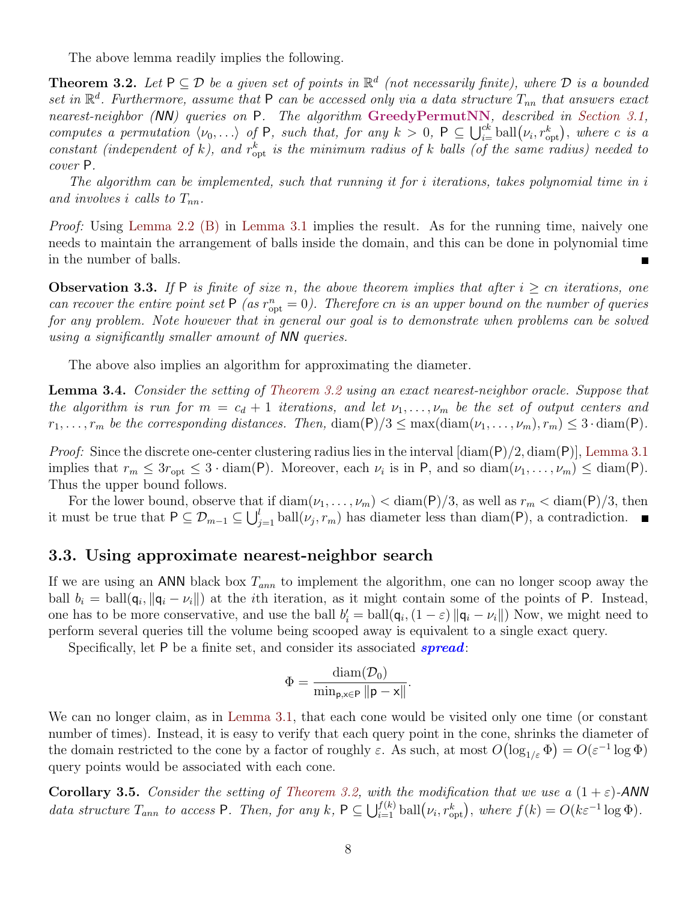The above lemma readily implies the following.

<span id="page-7-0"></span>**Theorem 3.2.** Let  $P \subseteq D$  be a given set of points in  $\mathbb{R}^d$  (not necessarily finite), where  $D$  is a bounded *set in* R *d . Furthermore, assume that* P *can be accessed only via a data structure Tnn that answers exact nearest-neighbor (NN) queries on* P*. The algorithm* **GreedyPermutNN***, described in [Section 3.1,](#page-4-1)* computes a permutation  $\langle \nu_0,\ldots\rangle$  of P, such that, for any  $k>0$ ,  $P\subseteq\bigcup_{i=0}^{k}$  ball $(\nu_i,r_{\rm opt}^k)$ , where c is a *constant (independent of*  $k$ ), and  $r_{opt}^k$  *is the minimum radius of*  $k$  *balls (of the same radius) needed to cover* P*.*

*The algorithm can be implemented, such that running it for i iterations, takes polynomial time in i* and involves *i* calls to  $T_{nn}$ .

*Proof:* Using [Lemma 2.2](#page-3-1) [\(B\)](#page-4-2) in [Lemma 3.1](#page-6-0) implies the result. As for the running time, naively one needs to maintain the arrangement of balls inside the domain, and this can be done in polynomial time in the number of balls.

**Observation 3.3.** If P is finite of size *n*, the above theorem implies that after  $i \geq cn$  iterations, one *can recover the entire point set*  $P(a s r_{opt}^n = 0)$ . Therefore *cn is an upper bound on the number of queries for any problem. Note however that in general our goal is to demonstrate when problems can be solved using a significantly smaller amount of NN queries.*

The above also implies an algorithm for approximating the diameter.

**Lemma 3.4.** *Consider the setting of [Theorem 3.2](#page-7-0) using an exact nearest-neighbor oracle. Suppose that the algorithm is run for*  $m = c_d + 1$  *iterations, and let*  $\nu_1, \ldots, \nu_m$  *be the set of output centers and*  $r_1, \ldots, r_m$  *be the corresponding distances. Then,* diam( $P$ )/ $3 \leq max(\text{diam}(\nu_1, \ldots, \nu_m), r_m) \leq 3 \cdot \text{diam}(P)$ .

*Proof:* Since the discrete one-center clustering radius lies in the interval [diam(P)*/*2*,* diam(P)], [Lemma 3.1](#page-6-0) implies that  $r_m \leq 3r_{\text{opt}} \leq 3 \cdot \text{diam}(P)$ . Moreover, each  $\nu_i$  is in P, and so  $\text{diam}(\nu_1, \ldots, \nu_m) \leq \text{diam}(P)$ . Thus the upper bound follows.

For the lower bound, observe that if  $\text{diam}(\nu_1, \ldots, \nu_m) < \text{diam}(P)/3$ , as well as  $r_m < \text{diam}(P)/3$ , then it must be true that  $P \subseteq \mathcal{D}_{m-1} \subseteq \bigcup_{j=1}^{l} \text{ball}(v_j, r_m)$  has diameter less than diam(P), a contradiction.

#### **3.3. Using approximate nearest-neighbor search**

If we are using an ANN black box *Tann* to implement the algorithm, one can no longer scoop away the ball  $b_i = \text{ball}(\mathbf{q}_i, \|\mathbf{q}_i - \nu_i\|)$  at the *i*th iteration, as it might contain some of the points of P. Instead, one has to be more conservative, and use the ball  $b'_i = \text{ball}(\mathbf{q}_i, (1-\varepsilon) || \mathbf{q}_i - \nu_i ||)$  Now, we might need to perform several queries till the volume being scooped away is equivalent to a single exact query.

Specifically, let P be a finite set, and consider its associated *spread*:

<span id="page-7-1"></span>
$$
\Phi = \frac{\text{diam}(\mathcal{D}_0)}{\min_{\mathbf{p}, \mathbf{x} \in \mathbf{P}} \|\mathbf{p} - \mathbf{x}\|}.
$$

We can no longer claim, as in [Lemma 3.1](#page-6-0), that each cone would be visited only one time (or constant number of times). Instead, it is easy to verify that each query point in the cone, shrinks the diameter of the domain restricted to the cone by a factor of roughly  $\varepsilon$ . As such, at most  $O(\log_{1/\varepsilon} \Phi) = O(\varepsilon^{-1} \log \Phi)$ query points would be associated with each cone.

**Corollary 3.5.** *Consider the setting of [Theorem 3.2](#page-7-0), with the modification that we use a*  $(1+\varepsilon)$ -*ANN* data structure  $T_{ann}$  to access P. Then, for any k,  $P \subseteq \bigcup_{i=1}^{f(k)} \text{ball}(\nu_i, r_{opt}^k)$ , where  $f(k) = O(k\varepsilon^{-1} \log \Phi)$ .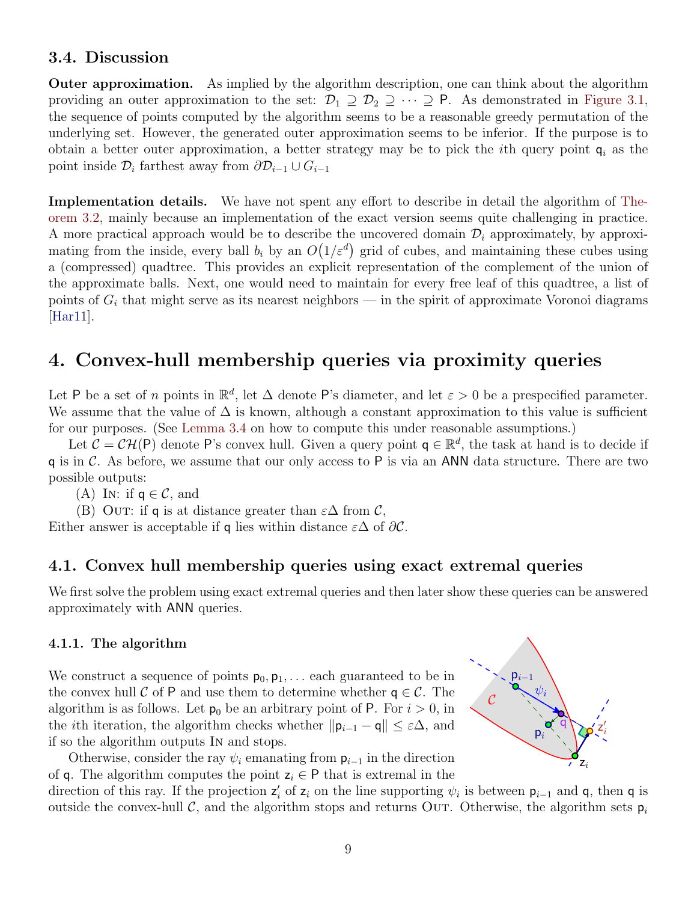## **3.4. Discussion**

**Outer approximation.** As implied by the algorithm description, one can think about the algorithm providing an outer approximation to the set:  $\mathcal{D}_1 \supseteq \mathcal{D}_2 \supseteq \cdots \supseteq P$ . As demonstrated in [Figure 3.1](#page-5-0), the sequence of points computed by the algorithm seems to be a reasonable greedy permutation of the underlying set. However, the generated outer approximation seems to be inferior. If the purpose is to obtain a better outer approximation, a better strategy may be to pick the *i*th query point q*<sup>i</sup>* as the point inside  $\mathcal{D}_i$  farthest away from  $\partial \mathcal{D}_{i-1} \cup G_{i-1}$ 

**Implementation details.** We have not spent any effort to describe in detail the algorithm of [The](#page-7-0)[orem 3.2](#page-7-0), mainly because an implementation of the exact version seems quite challenging in practice. A more practical approach would be to describe the uncovered domain  $\mathcal{D}_i$  approximately, by approximating from the inside, every ball  $b_i$  by an  $O(1/\varepsilon^d)$  grid of cubes, and maintaining these cubes using a (compressed) quadtree. This provides an explicit representation of the complement of the union of the approximate balls. Next, one would need to maintain for every free leaf of this quadtree, a list of points of  $G_i$  that might serve as its nearest neighbors — in the spirit of approximate Voronoi diagrams  $|Har11|.$ 

## <span id="page-8-0"></span>**4. Convex-hull membership queries via proximity queries**

Let P be a set of *n* points in  $\mathbb{R}^d$ , let  $\Delta$  denote P's diameter, and let  $\varepsilon > 0$  be a prespecified parameter. We assume that the value of  $\Delta$  is known, although a constant approximation to this value is sufficient for our purposes. (See [Lemma 3.4](#page-7-1) on how to compute this under reasonable assumptions.)

Let  $C = \mathcal{CH}(\mathsf{P})$  denote  $\mathsf{P}$ 's convex hull. Given a query point  $\mathsf{q} \in \mathbb{R}^d$ , the task at hand is to decide if q is in *C*. As before, we assume that our only access to P is via an ANN data structure. There are two possible outputs:

(A) In: if  $q \in \mathcal{C}$ , and

(B) OUT: if **q** is at distance greater than  $\varepsilon \Delta$  from  $\mathcal{C}$ ,

Either answer is acceptable if **q** lies within distance  $\varepsilon \Delta$  of  $\partial \mathcal{C}$ .

## **4.1. Convex hull membership queries using exact extremal queries**

We first solve the problem using exact extremal queries and then later show these queries can be answered approximately with ANN queries.

### <span id="page-8-1"></span>**4.1.1. The algorithm**

We construct a sequence of points  $p_0, p_1, \ldots$  each guaranteed to be in the convex hull  $\mathcal C$  of P and use them to determine whether  $q \in \mathcal C$ . The algorithm is as follows. Let  $p_0$  be an arbitrary point of P. For  $i > 0$ , in the *i*th iteration, the algorithm checks whether  $||p_{i-1} - q|| \leq \varepsilon \Delta$ , and if so the algorithm outputs In and stops.

Otherwise, consider the ray  $\psi_i$  emanating from  $p_{i-1}$  in the direction of q. The algorithm computes the point  $z_i \in P$  that is extremal in the

 $p_{i-1}$  $\overline{\mathsf{q}}$  $\cal C$  $\psi_i$ z  $\overline{1}$  $p_i \setminus \sqrt{Q} \leq i$ i zi

direction of this ray. If the projection  $z'_{i}$  of  $z_{i}$  on the line supporting  $\psi_{i}$  is between  $p_{i-1}$  and q, then q is outside the convex-hull  $\mathcal{C}$ , and the algorithm stops and returns Out. Otherwise, the algorithm sets  $p_i$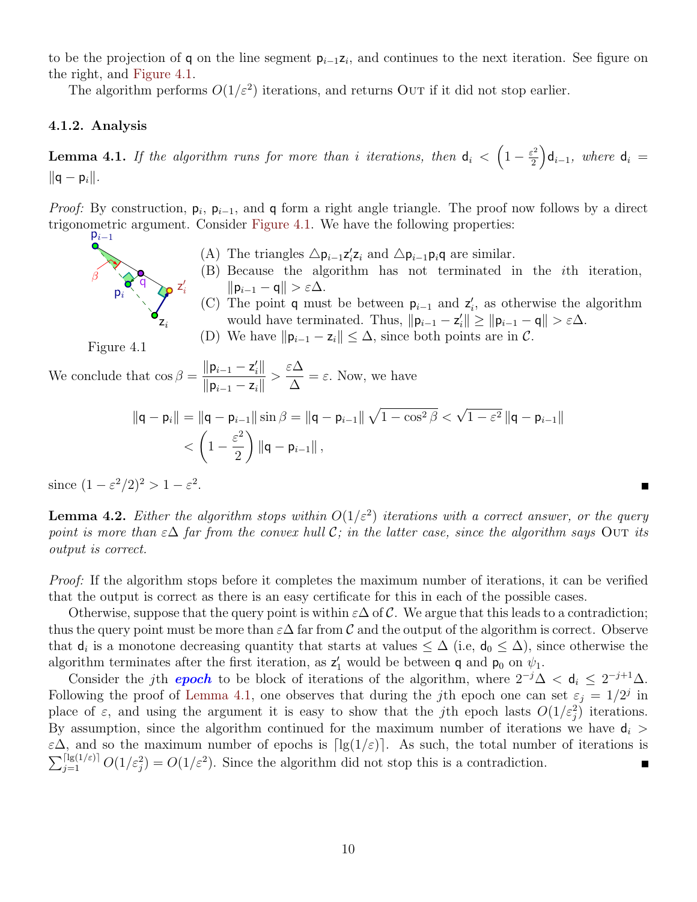to be the projection of q on the line segment p*<sup>i</sup>−*<sup>1</sup>z*<sup>i</sup>* , and continues to the next iteration. See figure on the right, and [Figure 4.1.](#page-9-0)

The algorithm performs  $O(1/\varepsilon^2)$  iterations, and returns OUT if it did not stop earlier.

#### **4.1.2. Analysis**

<span id="page-9-1"></span>**Lemma 4.1.** *If the algorithm runs for more than i iterations, then*  $d_i < \left(1 - \frac{\varepsilon^2}{2}\right)$ 2  $\int d_{i-1}$ *, where*  $d_i =$ *∥*q *−* p*i∥.*

*Proof:* By construction,  $p_i$ ,  $p_{i-1}$ , and q form a right angle triangle. The proof now follows by a direct trigonometric argument. Consider [Figure 4.1.](#page-9-0) We have the following properties:  $p_{i-1}$ 

- (A) The triangles  $\Delta p_{i-1}z_i'z_i$  and  $\Delta p_{i-1}p_iq$  are similar.
- (B) Because the algorithm has not terminated in the *i*th iteration, *∥*p*<sup>i</sup>−*<sup>1</sup> *−* q*∥ > ε*∆.
- (C) The point **q** must be between  $p_{i-1}$  and  $z'_{i}$ , as otherwise the algorithm would have terminated. Thus,  $||\mathbf{p}_{i-1} - \mathbf{z}'_i|| \ge ||\mathbf{p}_{i-1} - \mathbf{q}|| > \varepsilon \Delta$ .

 $\blacksquare$ 

(D) We have  $||\mathbf{p}_{i-1} - \mathbf{z}_i|| \leq \Delta$ , since both points are in  $\mathcal{C}$ .

Figure 4.1

i

β

 $q \searrow$  z

<span id="page-9-0"></span>zi

 $p_i \rightarrow q_i$ 

 $\overline{1}$ 

We conclude that  $\cos \beta = \frac{\|\mathbf{p}_{i-1} - \mathbf{z}'_i\|}{\| \mathbf{p}_i - \mathbf{p}'_i\|}$ *∥*p*<sup>i</sup>−*<sup>1</sup> *−* z*i∥ > ε*∆ ∆  $=\varepsilon$ . Now, we have

$$
\begin{aligned} \|\mathbf{q} - \mathbf{p}_i\| &= \|\mathbf{q} - \mathbf{p}_{i-1}\| \sin \beta = \|\mathbf{q} - \mathbf{p}_{i-1}\| \sqrt{1 - \cos^2 \beta} < \sqrt{1 - \varepsilon^2} \|\mathbf{q} - \mathbf{p}_{i-1}\| \\ &< \left(1 - \frac{\varepsilon^2}{2}\right) \|\mathbf{q} - \mathbf{p}_{i-1}\| \,, \end{aligned}
$$

since  $(1 - \varepsilon^2/2)^2 > 1 - \varepsilon^2$ .

**Lemma 4.2.** *Either the algorithm stops within*  $O(1/\varepsilon^2)$  *iterations with a correct answer, or the query point is more than*  $\epsilon \Delta$  *far from the convex hull*  $\mathcal{C}$ *; in the latter case, since the algorithm says* Out *its output is correct.*

*Proof:* If the algorithm stops before it completes the maximum number of iterations, it can be verified that the output is correct as there is an easy certificate for this in each of the possible cases.

Otherwise, suppose that the query point is within  $\varepsilon\Delta$  of  $\mathcal C$ . We argue that this leads to a contradiction; thus the query point must be more than  $\varepsilon\Delta$  far from *C* and the output of the algorithm is correct. Observe that  $d_i$  is a monotone decreasing quantity that starts at values  $\leq \Delta$  (i.e,  $d_0 \leq \Delta$ ), since otherwise the algorithm terminates after the first iteration, as  $z'_{1}$  would be between **q** and **p**<sub>0</sub> on  $\psi_{1}$ .

Consider the *j*th *epoch* to be block of iterations of the algorithm, where  $2^{-j}\Delta < d_i \leq 2^{-j+1}\Delta$ . Following the proof of [Lemma 4.1,](#page-9-1) one observes that during the *j*th epoch one can set  $\varepsilon_j = 1/2^j$  in place of  $\varepsilon$ , and using the argument it is easy to show that the *j*th epoch lasts  $O(1/\varepsilon_j^2)$  iterations. By assumption, since the algorithm continued for the maximum number of iterations we have  $d_i$  $\varepsilon\Delta$ , and so the maximum number of epochs is  $\lceil \lg(1/\varepsilon) \rceil$ . As such, the total number of iterations is  $\sum_{j=1}^{\lceil \lg(1/\varepsilon) \rceil} O(1/\varepsilon^2) = O(1/\varepsilon^2)$ . Since the algorithm did not stop this is a contradiction.  $\blacksquare$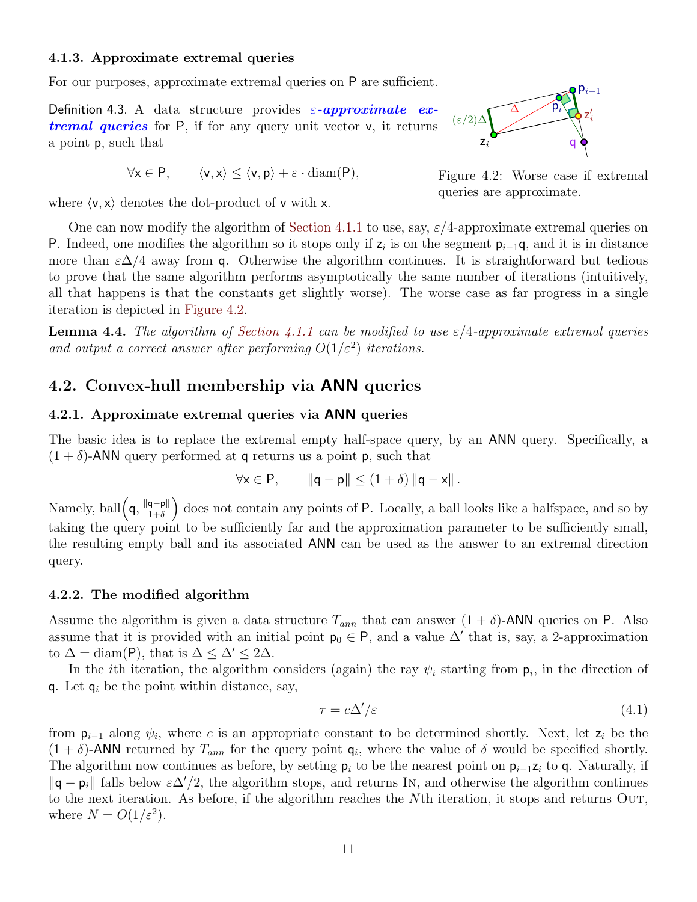#### **4.1.3. Approximate extremal queries**

For our purposes, approximate extremal queries on  $P$  are sufficient.

Definition 4.3. A data structure provides *ε-approximate extremal queries* for P, if for any query unit vector v, it returns a point p, such that

$$
\forall x \in P, \qquad \langle v, x \rangle \le \langle v, p \rangle + \varepsilon \cdot \operatorname{diam}(P),
$$

where  $\langle v, x \rangle$  denotes the dot-product of v with x.



<span id="page-10-0"></span>Figure 4.2: Worse case if extremal queries are approximate.

One can now modify the algorithm of [Section 4.1.1](#page-8-1) to use, say, *ε/*4-approximate extremal queries on P. Indeed, one modifies the algorithm so it stops only if  $z_i$  is on the segment  $p_{i-1}q$ , and it is in distance more than  $\varepsilon\Delta/4$  away from q. Otherwise the algorithm continues. It is straightforward but tedious to prove that the same algorithm performs asymptotically the same number of iterations (intuitively, all that happens is that the constants get slightly worse). The worse case as far progress in a single iteration is depicted in [Figure 4.2](#page-10-0).

**Lemma 4.4.** *The algorithm of [Section 4.1.1](#page-8-1) can be modified to use*  $\varepsilon/4$ -*approximate extremal queries and output a correct answer after performing*  $O(1/\varepsilon^2)$  *iterations.* 

### **4.2. Convex-hull membership via ANN queries**

#### **4.2.1. Approximate extremal queries via ANN queries**

The basic idea is to replace the extremal empty half-space query, by an ANN query. Specifically, a  $(1 + \delta)$ -ANN query performed at q returns us a point p, such that

$$
\forall x \in P, \qquad \|\mathsf{q} - \mathsf{p}\| \leq (1+\delta) \left\|\mathsf{q} - \mathsf{x}\right\|.
$$

Namely, ball  $(q, \frac{||q-p||}{1+\delta}$ ) does not contain any points of P. Locally, a ball looks like a halfspace, and so by taking the query point to be sufficiently far and the approximation parameter to be sufficiently small, the resulting empty ball and its associated ANN can be used as the answer to an extremal direction query.

#### **4.2.2. The modified algorithm**

Assume the algorithm is given a data structure  $T_{ann}$  that can answer  $(1 + \delta)$ -ANN queries on P. Also assume that it is provided with an initial point  $p_0 \in P$ , and a value  $\Delta'$  that is, say, a 2-approximation to  $\Delta = \text{diam}(P)$ , that is  $\Delta \leq \Delta' \leq 2\Delta$ .

In the *i*th iteration, the algorithm considers (again) the ray  $\psi_i$  starting from  $p_i$ , in the direction of q. Let  $q_i$  be the point within distance, say,

<span id="page-10-1"></span>
$$
\tau = c\Delta'/\varepsilon \tag{4.1}
$$

from  $p_{i-1}$  along  $\psi_i$ , where *c* is an appropriate constant to be determined shortly. Next, let  $z_i$  be the  $(1 + \delta)$ -ANN returned by  $T_{ann}$  for the query point  $q_i$ , where the value of  $\delta$  would be specified shortly. The algorithm now continues as before, by setting p*<sup>i</sup>* to be the nearest point on p*<sup>i</sup>−*<sup>1</sup>z*<sup>i</sup>* to q. Naturally, if *∥*q *−* p*i∥* falls below *ε*∆*′/*2, the algorithm stops, and returns In, and otherwise the algorithm continues to the next iteration. As before, if the algorithm reaches the *N*th iteration, it stops and returns Out, where  $N = O(1/\varepsilon^2)$ .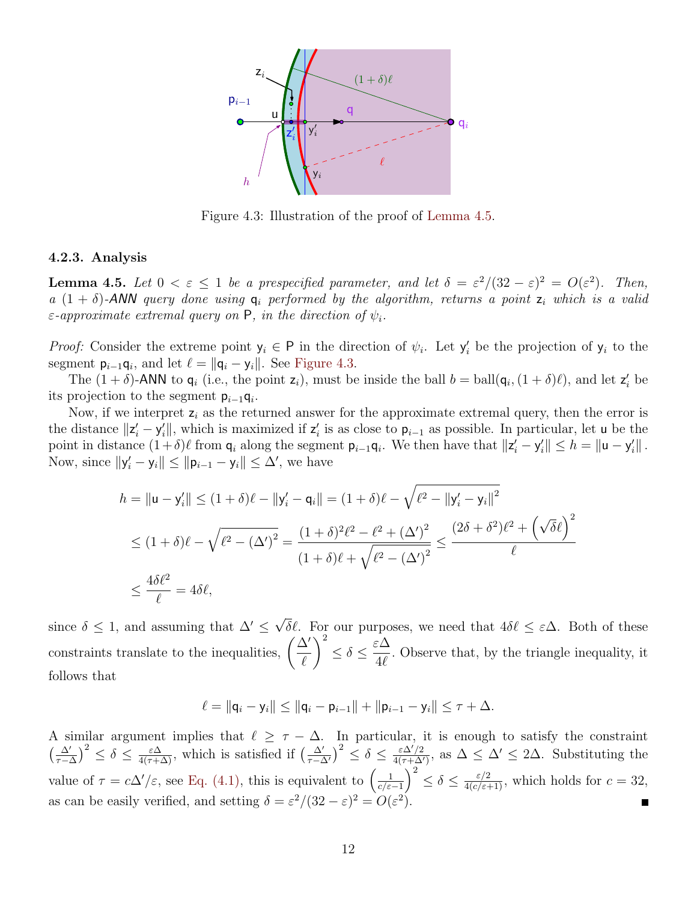<span id="page-11-1"></span>

Figure 4.3: Illustration of the proof of [Lemma 4.5](#page-11-0).

#### **4.2.3. Analysis**

<span id="page-11-0"></span>**Lemma 4.5.** Let  $0 < \varepsilon \leq 1$  be a prespecified parameter, and let  $\delta = \varepsilon^2/(32 - \varepsilon)^2 = O(\varepsilon^2)$ . Then, *a*  $(1 + \delta)$ -*ANN query done using*  $q_i$  *performed by the algorithm, returns a point*  $z_i$  *which is a valid ε-approximate extremal query on* P*, in the direction of ψi.*

*Proof:* Consider the extreme point  $y_i \in P$  in the direction of  $\psi_i$ . Let  $y'_i$  be the projection of  $y_i$  to the segment  $p_{i-1}q_i$ , and let  $\ell = ||q_i - y_i||$ . See [Figure 4.3.](#page-11-1)

The  $(1 + \delta)$ -ANN to  $\mathbf{q}_i$  (i.e., the point  $\mathbf{z}_i$ ), must be inside the ball  $b = \text{ball}(\mathbf{q}_i, (1 + \delta)\ell)$ , and let  $\mathbf{z}'_i$  be its projection to the segment p*<sup>i</sup>−*<sup>1</sup>q*<sup>i</sup>* .

Now, if we interpret z*<sup>i</sup>* as the returned answer for the approximate extremal query, then the error is the distance  $||z'_i - y'_i||$ , which is maximized if  $z'_i$  is as close to  $p_{i-1}$  as possible. In particular, let u be the point in distance  $(1+\delta)\ell$  from  $\mathsf{q}_i$  along the segment  $\mathsf{p}_{i-1}\mathsf{q}_i$ . We then have that  $\|\mathsf{z}'_i-\mathsf{y}'_i\| \leq h = \|\mathsf{u}-\mathsf{y}'_i\|$ . Now, since  $||y'_i - y_i|| \le ||p_{i-1} - y_i|| \le \Delta'$ , we have

$$
h = ||\mathbf{u} - \mathbf{y}'_i|| \le (1 + \delta)\ell - ||\mathbf{y}'_i - \mathbf{q}_i|| = (1 + \delta)\ell - \sqrt{\ell^2 - ||\mathbf{y}'_i - \mathbf{y}_i||^2}
$$
  
\n
$$
\le (1 + \delta)\ell - \sqrt{\ell^2 - (\Delta')^2} = \frac{(1 + \delta)^2 \ell^2 - \ell^2 + (\Delta')^2}{(1 + \delta)\ell + \sqrt{\ell^2 - (\Delta')^2}} \le \frac{(2\delta + \delta^2)\ell^2 + (\sqrt{\delta}\ell)^2}{\ell}
$$
  
\n
$$
\le \frac{4\delta\ell^2}{\ell} = 4\delta\ell,
$$

since  $\delta \leq 1$ , and assuming that  $\Delta' \leq$ *√ δℓ*. For our purposes, we need that 4*δℓ ≤ ε*∆. Both of these constraints translate to the inequalities, ( ∆*′ ℓ*  $\setminus^2$ *≤ δ ≤ ε*∆ 4*ℓ .* Observe that, by the triangle inequality, it follows that

$$
\ell = ||\mathsf{q}_i - \mathsf{y}_i|| \leq ||\mathsf{q}_i - \mathsf{p}_{i-1}|| + ||\mathsf{p}_{i-1} - \mathsf{y}_i|| \leq \tau + \Delta.
$$

A similar argument implies that  $\ell \geq \tau - \Delta$ . In particular, it is enough to satisfy the constraint ( <sup>∆</sup>*′ τ−*∆  $\left(\frac{\Delta'}{1-\Delta'}\right)^2 \leq \delta \leq \frac{\varepsilon\Delta}{4(\tau+\Delta)},$  which is satisfied if  $\left(\frac{\Delta'}{\tau-\Delta'}\right)$  $\int^{2} \leq \delta \leq \frac{\varepsilon \Delta'/2}{4(\tau + \Delta')^2}$  $\frac{\varepsilon \Delta'/2}{4(\tau + \Delta')}$ , as  $\Delta \leq \Delta' \leq 2\Delta$ . Substituting the value of  $\tau = c\Delta'/\varepsilon$ , see [Eq. \(4.1\),](#page-10-1) this is equivalent to  $\left(\frac{1}{c/\varepsilon}\right)$ *c/ε−*1  $\int^{2} \leq \delta \leq \frac{\varepsilon/2}{4(c/\varepsilon+1)}$ , which holds for  $c = 32$ , as can be easily verified, and setting  $\delta = \varepsilon^2/(32 - \varepsilon)^2 = O(\varepsilon^2)$ .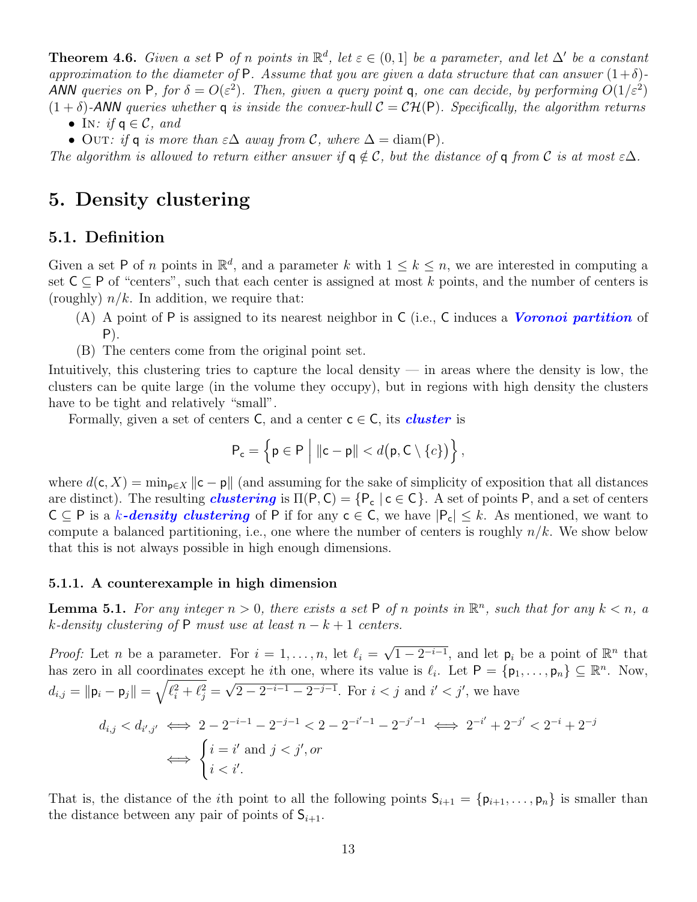**Theorem 4.6.** *Given a set*  $P$  *of n points in*  $\mathbb{R}^d$ *, let*  $\varepsilon \in (0,1]$  *be a parameter, and let*  $\Delta'$  *be a constant approximation to the diameter of* P. Assume that you are given a data structure that can answer  $(1+\delta)$ -*ANN* queries on P, for  $\delta = O(\varepsilon^2)$ . Then, given a query point q, one can decide, by performing  $O(1/\varepsilon^2)$  $(1 + \delta)$ -*ANN* queries whether **q** is inside the convex-hull  $C = \mathcal{CH}(P)$ . Specifically, the algorithm returns

- *•* In*: if* q *∈ C, and*
- Outr: if **q** is more than  $\varepsilon \Delta$  *away from*  $\mathcal{C}$ *, where*  $\Delta = \text{diam}(P)$ *.*

*The algorithm is allowed to return either answer if*  $q \notin C$ , but the distance of q from C is at most  $\epsilon \Delta$ .

## <span id="page-12-0"></span>**5. Density clustering**

### **5.1. Definition**

Given a set P of *n* points in  $\mathbb{R}^d$ , and a parameter *k* with  $1 \leq k \leq n$ , we are interested in computing a set  $C ⊆ P$  of "centers", such that each center is assigned at most *k* points, and the number of centers is (roughly)  $n/k$ . In addition, we require that:

- (A) A point of P is assigned to its nearest neighbor in C (i.e., C induces a *Voronoi partition* of P).
- (B) The centers come from the original point set.

Intuitively, this clustering tries to capture the local density — in areas where the density is low, the clusters can be quite large (in the volume they occupy), but in regions with high density the clusters have to be tight and relatively "small".

Formally, given a set of centers  $C$ , and a center  $c \in C$ , its *cluster* is

$$
\mathsf{P}_{\mathsf{c}} = \left\{\mathsf{p} \in \mathsf{P} \Bigm| \|\mathsf{c} - \mathsf{p}\| < d\big(\mathsf{p}, \mathsf{C} \setminus \{c\}\big)\right\},
$$

where  $d(c, X) = \min_{p \in X} ||c - p||$  (and assuming for the sake of simplicity of exposition that all distances are distinct). The resulting *clustering* is  $\Pi(P, C) = \{P_c \mid c \in C\}$ . A set of points P, and a set of centers C *⊆* P is a *k-density clustering* of P if for any c *∈* C, we have *|*Pc*| ≤ k*. As mentioned, we want to compute a balanced partitioning, i.e., one where the number of centers is roughly *n/k*. We show below that this is not always possible in high enough dimensions.

#### **5.1.1. A counterexample in high dimension**

**Lemma 5.1.** For any integer  $n > 0$ , there exists a set P of n points in  $\mathbb{R}^n$ , such that for any  $k < n$ , a *k*<sup>*-density clustering of*  $P$  *must use at least*  $n - k + 1$  *centers.*</sup>

*Proof:* Let *n* be a parameter. For  $i = 1, \ldots, n$ , let  $\ell_i =$ *√*  $\overline{1-2^{-i-1}}$ , and let  $p_i$  be a point of  $\mathbb{R}^n$  that has zero in all coordinates except he *i*th one, where its value is  $\ell_i$ . Let  $P = \{p_1, \ldots, p_n\} \subseteq \mathbb{R}^n$ . Now,  $d_{i,j} = \| \mathsf{p}_i - \mathsf{p}_j \| = \sqrt{\ell_i^2 + \ell_j^2} = 1$ *√* 2 – 2<sup>-*i*-1</sup> – 2<sup>-*j*-1</sup>. For  $i < j$  and  $i' < j'$ , we have

$$
d_{i,j} < d_{i',j'} \iff 2 - 2^{-i-1} - 2^{-j-1} < 2 - 2^{-i'-1} - 2^{-j'-1} \iff 2^{-i'} + 2^{-j'} < 2^{-i} + 2^{-j}
$$
\n
$$
\iff \begin{cases} i = i' \text{ and } j < j', or \\ i < i'. \end{cases}
$$

That is, the distance of the *i*th point to all the following points  $S_{i+1} = \{p_{i+1}, \ldots, p_n\}$  is smaller than the distance between any pair of points of  $S_{i+1}$ .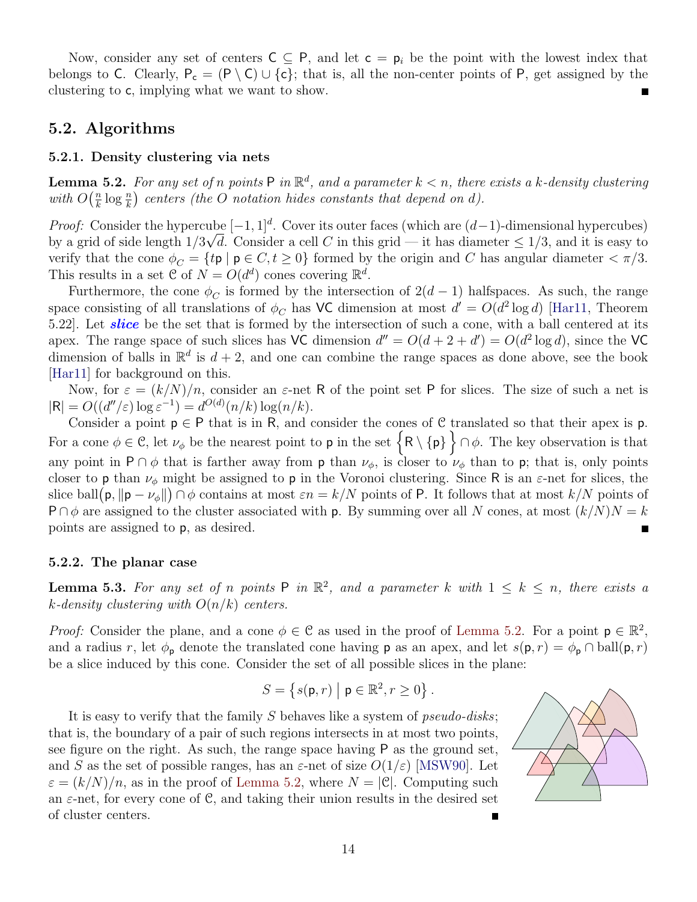Now, consider any set of centers  $C \subseteq P$ , and let  $c = p_i$  be the point with the lowest index that belongs to C. Clearly,  $P_c = (P \setminus C) \cup \{c\}$ ; that is, all the non-center points of P, get assigned by the clustering to c, implying what we want to show.

## **5.2. Algorithms**

#### **5.2.1. Density clustering via nets**

<span id="page-13-0"></span>**Lemma 5.2.** For any set of *n* points  $P$  in  $\mathbb{R}^d$ , and a parameter  $k < n$ , there exists a *k*-density clustering *with*  $O\left(\frac{n}{k}\right)$  $\frac{n}{k} \log \frac{n}{k}$  centers (the *O* notation hides constants that depend on *d*).

*Proof:* Consider the hypercube  $[-1, 1]^d$ . Cover its outer faces (which are  $(d-1)$ -dimensional hypercubes) by a grid of side length  $1/3\sqrt{d}$ . Consider a cell *C* in this grid — it has diameter  $\leq 1/3$ , and it is easy to verify that the cone  $\phi_C = \{t\mathbf{p} \mid \mathbf{p} \in C, t \geq 0\}$  formed by the origin and *C* has angular diameter  $\langle \pi/3.$ This results in a set  $\mathcal{C}$  of  $N = O(d^d)$  cones covering  $\mathbb{R}^d$ .

Furthermore, the cone  $\phi_C$  is formed by the intersection of  $2(d-1)$  halfspaces. As such, the range space consisting of all translations of  $\phi_C$  has VC dimension at most  $d' = O(d^2 \log d)$  [\[Har11](#page-14-13), Theorem 5.22]. Let *slice* be the set that is formed by the intersection of such a cone, with a ball centered at its apex. The range space of such slices has VC dimension  $d'' = O(d + 2 + d') = O(d^2 \log d)$ , since the VC dimension of balls in  $\mathbb{R}^d$  is  $d+2$ , and one can combine the range spaces as done above, see the book [[Har11\]](#page-14-13) for background on this.

Now, for  $\varepsilon = (k/N)/n$ , consider an  $\varepsilon$ -net R of the point set P for slices. The size of such a net is  $|R| = O((d''/\varepsilon) \log \varepsilon^{-1}) = d^{O(d)}(n/k) \log(n/k).$ 

Consider a point p *∈* P that is in R, and consider the cones of C translated so that their apex is p. For a cone  $\phi \in \mathcal{C}$ , let  $\nu_{\phi}$  be the nearest point to **p** in the set  $\{R \setminus \{p\}\}\cap \phi$ . The key observation is that any point in  $P \cap \phi$  that is farther away from p than  $\nu_{\phi}$ , is closer to  $\nu_{\phi}$  than to p; that is, only points closer to **p** than  $\nu_{\phi}$  might be assigned to **p** in the Voronoi clustering. Since R is an  $\varepsilon$ -net for slices, the slice ball $(\mathsf{p}, \|\mathsf{p} - \nu_{\phi}\|) \cap \phi$  contains at most  $\varepsilon n = k/N$  points of P. It follows that at most  $k/N$  points of  $P \cap \phi$  are assigned to the cluster associated with p. By summing over all *N* cones, at most  $(k/N)N = k$ points are assigned to p, as desired.  $\blacksquare$ 

#### **5.2.2. The planar case**

**Lemma 5.3.** For any set of *n* points  $P$  in  $\mathbb{R}^2$ , and a parameter k with  $1 \leq k \leq n$ , there exists a *k-density clustering with O*(*n/k*) *centers.*

*Proof:* Consider the plane, and a cone  $\phi \in \mathcal{C}$  as used in the proof of [Lemma 5.2](#page-13-0). For a point  $p \in \mathbb{R}^2$ , and a radius *r*, let  $\phi_p$  denote the translated cone having **p** as an apex, and let  $s(p,r) = \phi_p \cap \text{ball}(p,r)$ be a slice induced by this cone. Consider the set of all possible slices in the plane:

$$
S = \left\{ s(\mathsf{p},r) \bigm\vert \mathsf{p} \in \mathbb{R}^2, r \geq 0 \right\}.
$$

It is easy to verify that the family *S* behaves like a system of *pseudo-disks*; that is, the boundary of a pair of such regions intersects in at most two points, see figure on the right. As such, the range space having P as the ground set, and *S* as the set of possible ranges, has an  $\varepsilon$ -net of size  $O(1/\varepsilon)$  [\[MSW90](#page-15-6)]. Let  $\varepsilon = (k/N)/n$ , as in the proof of [Lemma 5.2](#page-13-0), where  $N = |\mathcal{C}|$ . Computing such an  $\varepsilon$ -net, for every cone of C, and taking their union results in the desired set of cluster centers.

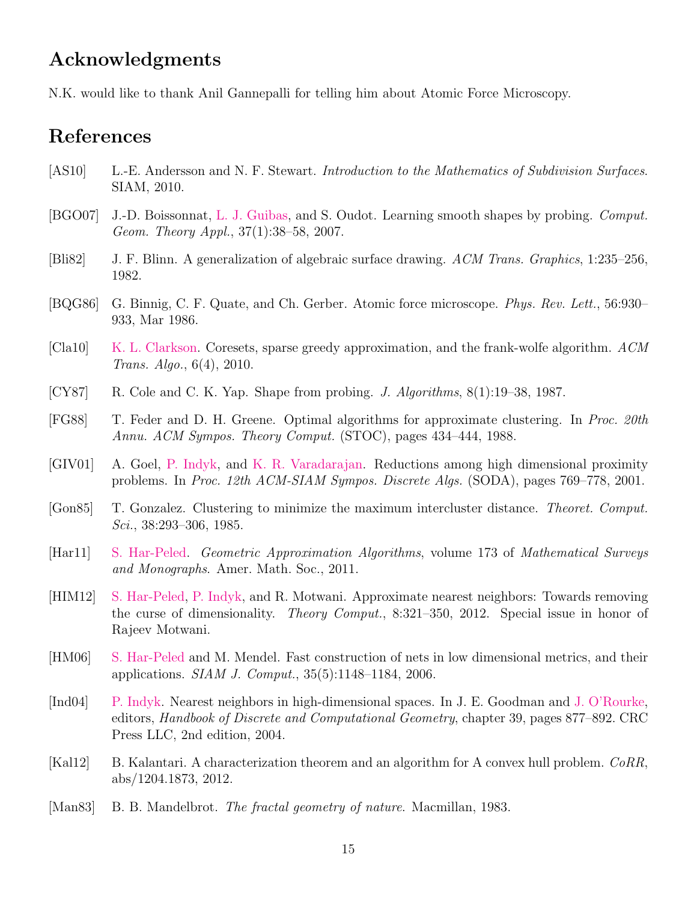## **Acknowledgments**

N.K. would like to thank Anil Gannepalli for telling him about Atomic Force Microscopy.

# **References**

- <span id="page-14-4"></span>[AS10] L.-E. Andersson and N. F. Stewart. *Introduction to the Mathematics of Subdivision Surfaces*. SIAM, 2010.
- <span id="page-14-2"></span>[BGO07] J.-D. Boissonnat, [L. J. Guibas,](http://geometry.stanford.edu/member/guibas/) and S. Oudot. Learning smooth shapes by probing. *Comput. Geom. Theory Appl.*, 37(1):38–58, 2007.
- <span id="page-14-5"></span>[Bli82] J. F. Blinn. A generalization of algebraic surface drawing. *ACM Trans. Graphics*, 1:235–256, 1982.
- <span id="page-14-0"></span>[BQG86] G. Binnig, C. F. Quate, and Ch. Gerber. Atomic force microscope. *Phys. Rev. Lett.*, 56:930– 933, Mar 1986.
- <span id="page-14-11"></span>[Cla10] [K. L. Clarkson](http://cm.bell-labs.com/who/clarkson/). Coresets, sparse greedy approximation, and the frank-wolfe algorithm. *ACM Trans. Algo.*, 6(4), 2010.
- <span id="page-14-1"></span>[CY87] R. Cole and C. K. Yap. Shape from probing. *J. Algorithms*, 8(1):19–38, 1987.
- <span id="page-14-14"></span>[FG88] T. Feder and D. H. Greene. Optimal algorithms for approximate clustering. In *Proc. 20th Annu. ACM Sympos. Theory Comput.* (STOC), pages 434–444, 1988.
- <span id="page-14-6"></span>[GIV01] A. Goel, [P. Indyk,](http://theory.lcs.mit.edu/~indyk/) and [K. R. Varadarajan.](http://www.cs.uiowa.edu/~kvaradar/) Reductions among high dimensional proximity problems. In *Proc. 12th ACM-SIAM Sympos. Discrete Algs.* (SODA), pages 769–778, 2001.
- <span id="page-14-9"></span>[Gon85] T. Gonzalez. Clustering to minimize the maximum intercluster distance. *Theoret. Comput. Sci.*, 38:293–306, 1985.
- <span id="page-14-13"></span>[Har11] [S. Har-Peled.](http://www.uiuc.edu/~sariel) *Geometric Approximation Algorithms*, volume 173 of *Mathematical Surveys and Monographs*. Amer. Math. Soc., 2011.
- <span id="page-14-7"></span>[HIM12] [S. Har-Peled](http://www.uiuc.edu/~sariel), [P. Indyk](http://theory.lcs.mit.edu/~indyk/), and R. Motwani. Approximate nearest neighbors: Towards removing the curse of dimensionality. *Theory Comput.*, 8:321–350, 2012. Special issue in honor of Rajeev Motwani.
- <span id="page-14-10"></span>[HM06] [S. Har-Peled](http://www.uiuc.edu/~sariel) and M. Mendel. Fast construction of nets in low dimensional metrics, and their applications. *SIAM J. Comput.*, 35(5):1148–1184, 2006.
- <span id="page-14-8"></span>[Ind04] [P. Indyk](http://theory.lcs.mit.edu/~indyk/). Nearest neighbors in high-dimensional spaces. In J. E. Goodman and [J. O'Rourke](http://cs.smith.edu/~orourke/), editors, *Handbook of Discrete and Computational Geometry*, chapter 39, pages 877–892. CRC Press LLC, 2nd edition, 2004.
- <span id="page-14-12"></span>[Kal12] B. Kalantari. A characterization theorem and an algorithm for A convex hull problem. *CoRR*, abs/1204.1873, 2012.
- <span id="page-14-3"></span>[Man83] B. B. Mandelbrot. *The fractal geometry of nature*. Macmillan, 1983.